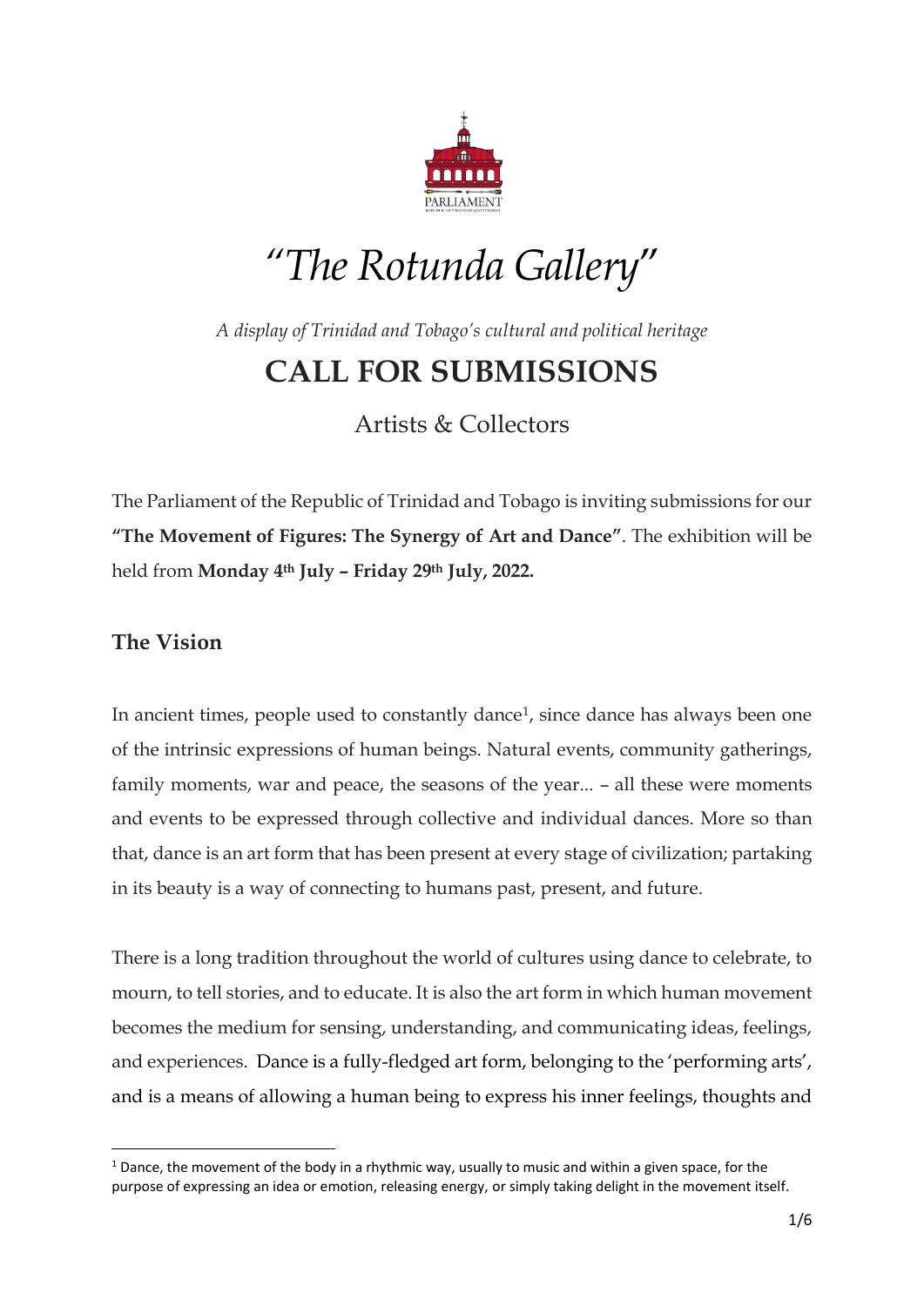

# *"The Rotunda Gallery*"

*A display of Trinidad and Tobago's cultural and political heritage*

# **CALL FOR SUBMISSIONS**

Artists & Collectors

The Parliament of the Republic of Trinidad and Tobago is inviting submissions for our **"The Movement of Figures: The Synergy of Art and Dance"**. The exhibition will be held from **Monday 4th July – Friday 29th July, 2022.** 

# **The Vision**

1

In ancient times, people used to constantly dance<sup>1</sup>, since dance has always been one of the intrinsic expressions of human beings. Natural events, community gatherings, family moments, war and peace, the seasons of the year... – all these were moments and events to be expressed through collective and individual dances. More so than that, dance is an art form that has been present at every stage of civilization; partaking in its beauty is a way of connecting to humans past, present, and future.

There is a long tradition throughout the world of cultures using dance to celebrate, to mourn, to tell stories, and to educate. It is also the art form in which human movement becomes the medium for sensing, understanding, and communicating ideas, feelings, and experiences. Dance is a fully-fledged art form, belonging to the 'performing arts', and is a means of allowing a human being to express his inner feelings, thoughts and

 $1$  Dance, the movement of the body in a rhythmic way, usually to music and within a given space, for the purpose of expressing an idea or emotion, releasing energy, or simply taking delight in the movement itself.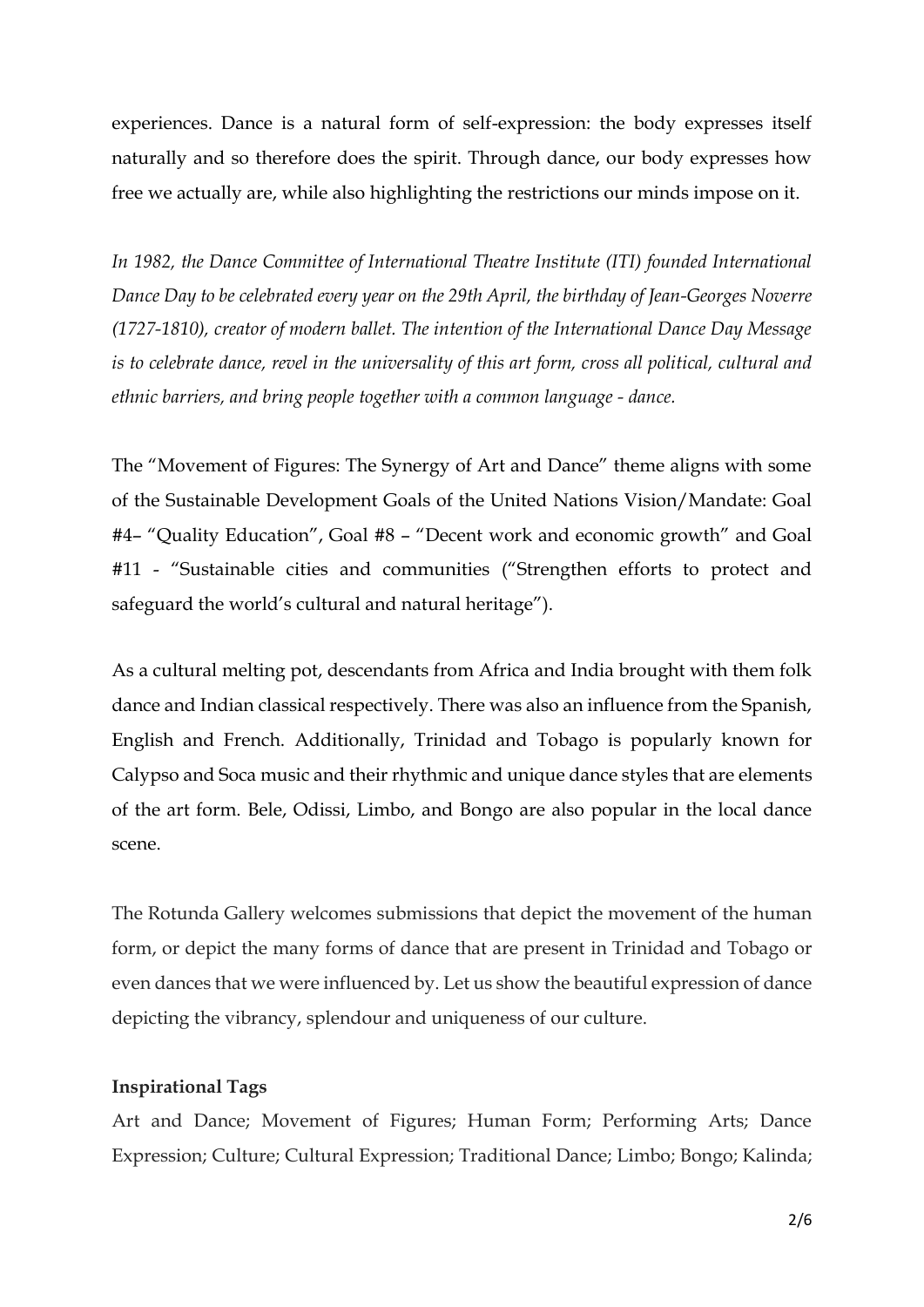experiences. Dance is a natural form of self-expression: the body expresses itself naturally and so therefore does the spirit. Through dance, our body expresses how free we actually are, while also highlighting the restrictions our minds impose on it.

*In 1982, the Dance Committee of International Theatre Institute (ITI) founded International Dance Day to be celebrated every year on the 29th April, the birthday of Jean-Georges Noverre (1727-1810), creator of modern ballet. The intention of the International Dance Day Message is to celebrate dance, revel in the universality of this art form, cross all political, cultural and ethnic barriers, and bring people together with a common language - dance.*

The "Movement of Figures: The Synergy of Art and Dance" theme aligns with some of the Sustainable Development Goals of the United Nations Vision/Mandate: Goal #4– "Quality Education", Goal #8 – "Decent work and economic growth" and Goal #11 - "Sustainable cities and communities ("Strengthen efforts to protect and safeguard the world's cultural and natural heritage").

As a cultural melting pot, descendants from Africa and India brought with them folk dance and Indian classical respectively. There was also an influence from the Spanish, English and French. Additionally, Trinidad and Tobago is popularly known for Calypso and Soca music and their rhythmic and unique dance styles that are elements of the art form. Bele, Odissi, Limbo, and Bongo are also popular in the local dance scene.

The Rotunda Gallery welcomes submissions that depict the movement of the human form, or depict the many forms of dance that are present in Trinidad and Tobago or even dances that we were influenced by. Let us show the beautiful expression of dance depicting the vibrancy, splendour and uniqueness of our culture.

#### **Inspirational Tags**

Art and Dance; Movement of Figures; Human Form; Performing Arts; Dance Expression; Culture; Cultural Expression; Traditional Dance; Limbo; Bongo; Kalinda;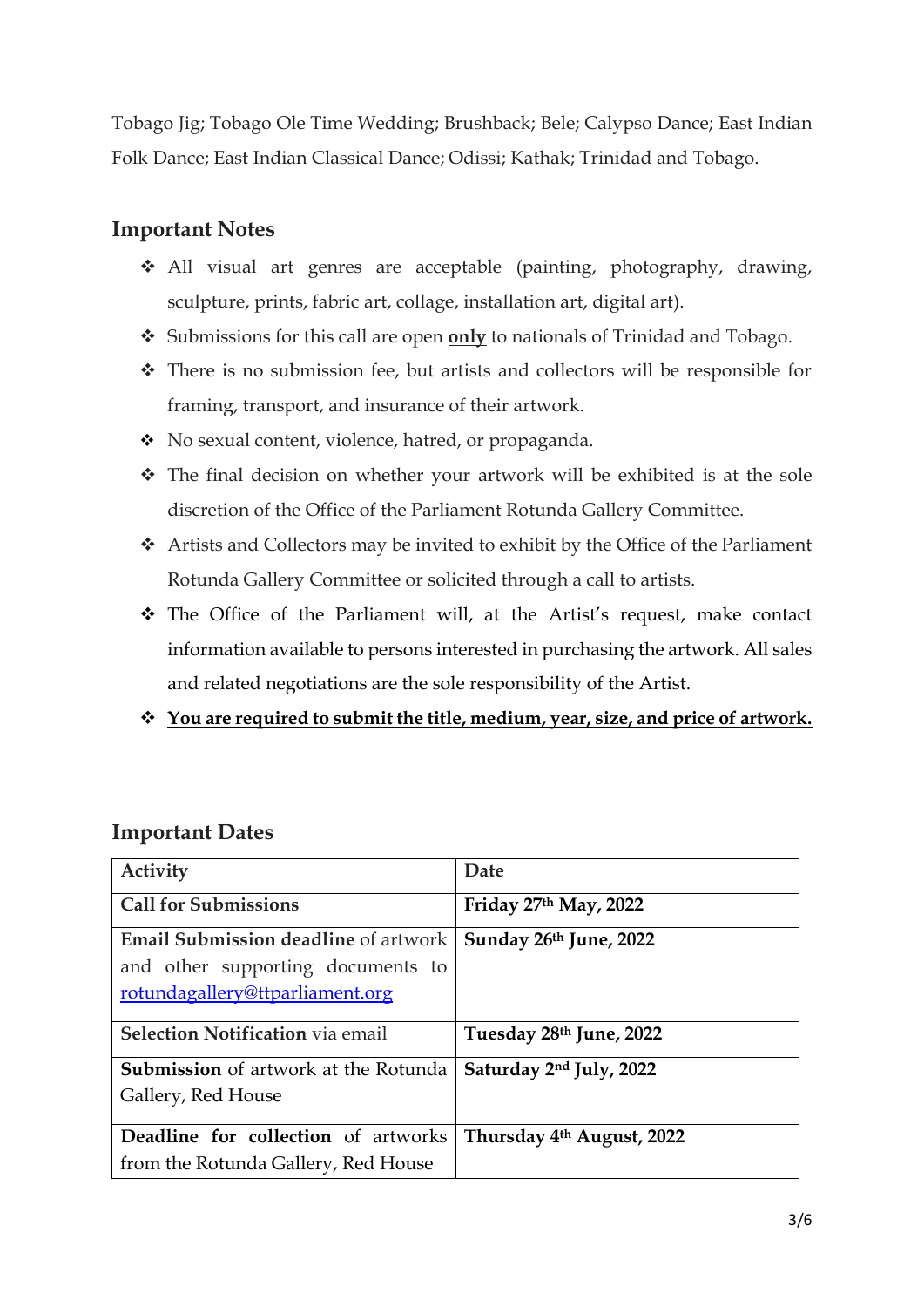Tobago Jig; Tobago Ole Time Wedding; Brushback; Bele; Calypso Dance; East Indian Folk Dance; East Indian Classical Dance; Odissi; Kathak; Trinidad and Tobago.

# **Important Notes**

- All visual art genres are acceptable (painting, photography, drawing, sculpture, prints, fabric art, collage, installation art, digital art).
- Submissions for this call are open **only** to nationals of Trinidad and Tobago.
- There is no submission fee, but artists and collectors will be responsible for framing, transport, and insurance of their artwork.
- No sexual content, violence, hatred, or propaganda.
- The final decision on whether your artwork will be exhibited is at the sole discretion of the Office of the Parliament Rotunda Gallery Committee.
- Artists and Collectors may be invited to exhibit by the Office of the Parliament Rotunda Gallery Committee or solicited through a call to artists.
- The Office of the Parliament will, at the Artist's request, make contact information available to persons interested in purchasing the artwork. All sales and related negotiations are the sole responsibility of the Artist.
- **You are required to submit the title, medium, year, size, and price of artwork.**

## **Important Dates**

| Activity                                                                                                            | Date                                  |
|---------------------------------------------------------------------------------------------------------------------|---------------------------------------|
| <b>Call for Submissions</b>                                                                                         | Friday 27th May, 2022                 |
| <b>Email Submission deadline</b> of artwork<br>and other supporting documents to<br>rotundagallery@ttparliament.org | Sunday 26th June, 2022                |
| <b>Selection Notification via email</b>                                                                             | Tuesday 28th June, 2022               |
| <b>Submission</b> of artwork at the Rotunda<br>Gallery, Red House                                                   | Saturday 2 <sup>nd</sup> July, 2022   |
| Deadline for collection of artworks<br>from the Rotunda Gallery, Red House                                          | Thursday 4 <sup>th</sup> August, 2022 |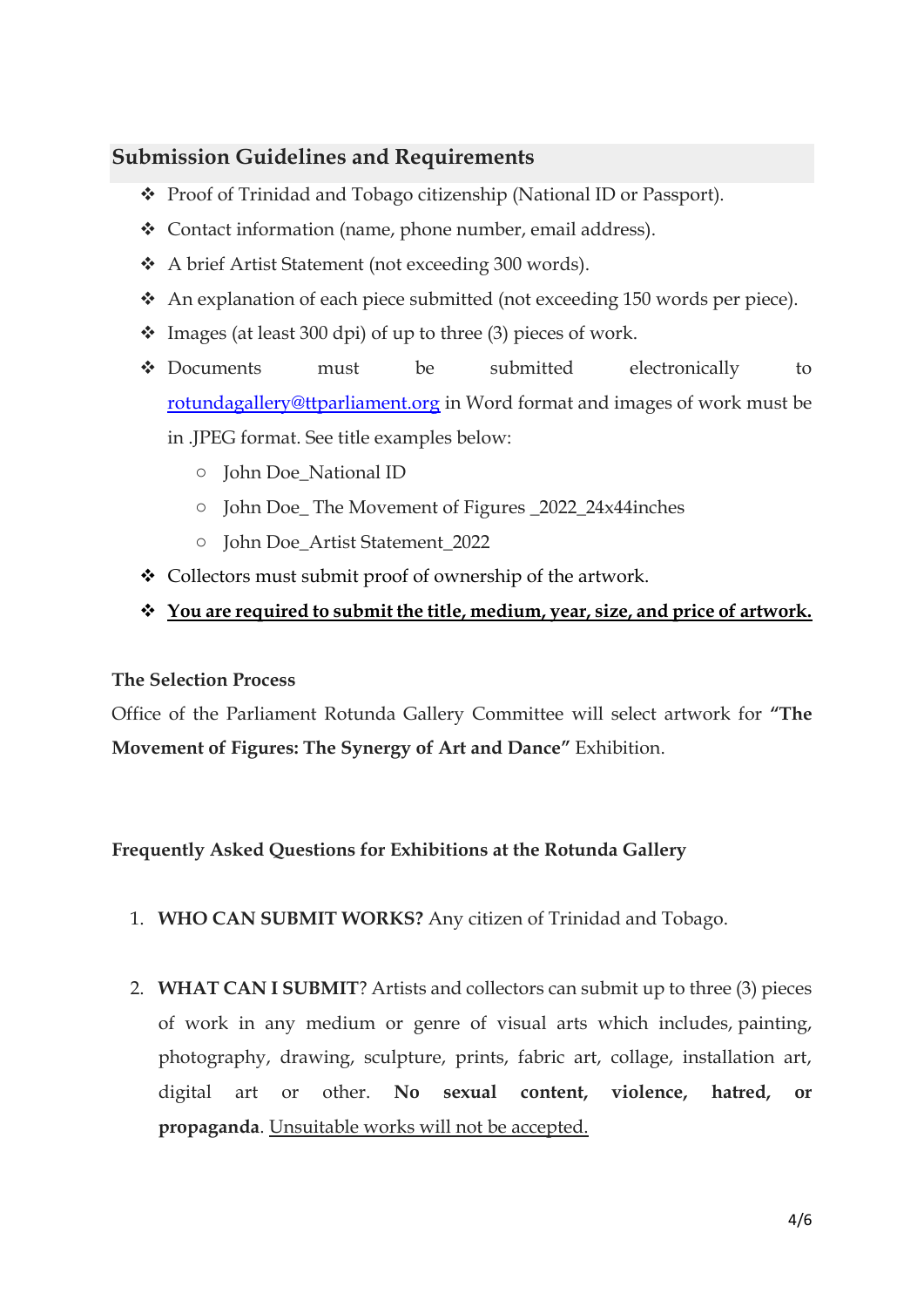## **Submission Guidelines and Requirements**

- Proof of Trinidad and Tobago citizenship (National ID or Passport).
- Contact information (name, phone number, email address).
- A brief Artist Statement (not exceeding 300 words).
- An explanation of each piece submitted (not exceeding 150 words per piece).
- $\div$  Images (at least 300 dpi) of up to three (3) pieces of work.
- Documents must be submitted electronically to [rotundagallery@ttparliament.org](mailto:rotundagallery@ttparliament.org) in Word format and images of work must be in .JPEG format. See title examples below:
	- o John Doe\_National ID
	- o John Doe\_ The Movement of Figures \_2022\_24x44inches
	- o John Doe\_Artist Statement\_2022
- Collectors must submit proof of ownership of the artwork.

#### **You are required to submit the title, medium, year, size, and price of artwork.**

#### **The Selection Process**

Office of the Parliament Rotunda Gallery Committee will select artwork for **"The Movement of Figures: The Synergy of Art and Dance"** Exhibition.

#### **Frequently Asked Questions for Exhibitions at the Rotunda Gallery**

- 1. **WHO CAN SUBMIT WORKS?** Any citizen of Trinidad and Tobago.
- 2. **WHAT CAN I SUBMIT**? Artists and collectors can submit up to three (3) pieces of work in any medium or genre of visual arts which includes, painting, photography, drawing, sculpture, prints, fabric art, collage, installation art, digital art or other. **No sexual content, violence, hatred, or propaganda**. Unsuitable works will not be accepted.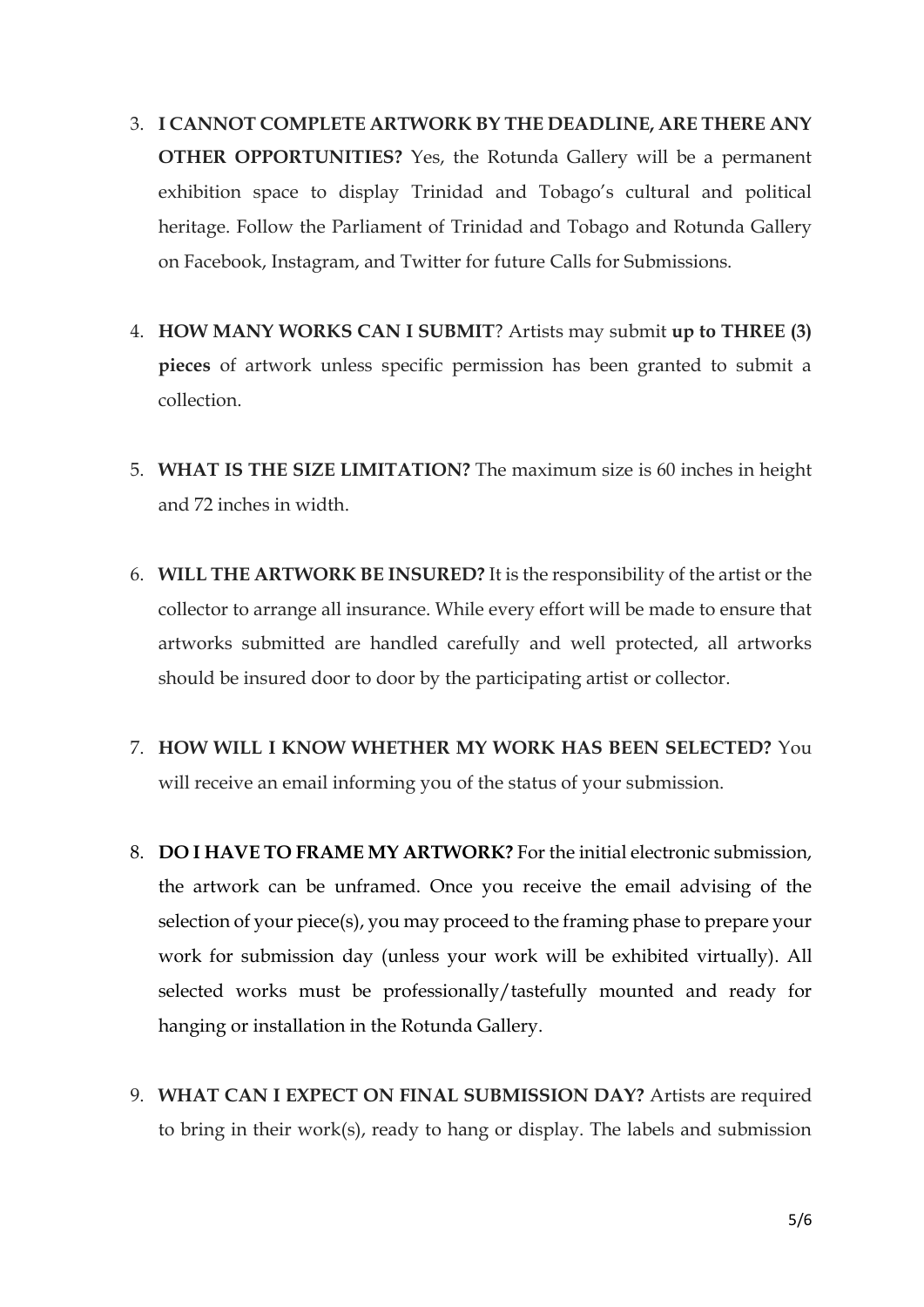- 3. **I CANNOT COMPLETE ARTWORK BY THE DEADLINE, ARE THERE ANY OTHER OPPORTUNITIES?** Yes, the Rotunda Gallery will be a permanent exhibition space to display Trinidad and Tobago's cultural and political heritage. Follow the Parliament of Trinidad and Tobago and Rotunda Gallery on Facebook, Instagram, and Twitter for future Calls for Submissions.
- 4. **HOW MANY WORKS CAN I SUBMIT**? Artists may submit **up to THREE (3) pieces** of artwork unless specific permission has been granted to submit a collection.
- 5. **WHAT IS THE SIZE LIMITATION?** The maximum size is 60 inches in height and 72 inches in width.
- 6. **WILL THE ARTWORK BE INSURED?** It is the responsibility of the artist or the collector to arrange all insurance. While every effort will be made to ensure that artworks submitted are handled carefully and well protected, all artworks should be insured door to door by the participating artist or collector.
- 7. **HOW WILL I KNOW WHETHER MY WORK HAS BEEN SELECTED?** You will receive an email informing you of the status of your submission.
- 8. **DO I HAVE TO FRAME MY ARTWORK?** For the initial electronic submission, the artwork can be unframed. Once you receive the email advising of the selection of your piece(s), you may proceed to the framing phase to prepare your work for submission day (unless your work will be exhibited virtually). All selected works must be professionally/tastefully mounted and ready for hanging or installation in the Rotunda Gallery.
- 9. **WHAT CAN I EXPECT ON FINAL SUBMISSION DAY?** Artists are required to bring in their work(s), ready to hang or display. The labels and submission